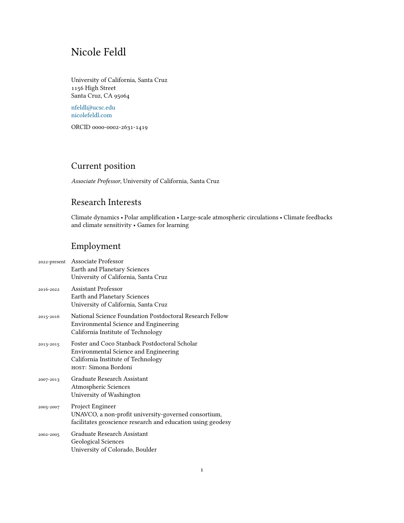# Nicole Feldl

University of California, Santa Cruz 1156 High Street Santa Cruz, CA 95064

[nfeldl@ucsc.edu](mailto:nfeldl@ucsc.edu) [nicolefeldl.com](https://nicolefeldl.com)

ORCID 0000-0002-2631-1419

# Current position

*Associate Professor*, University of California, Santa Cruz

# Research Interests

Climate dynamics • Polar amplification • Large-scale atmospheric circulations • Climate feedbacks and climate sensitivity • Games for learning

# Employment

|           | 2022-present Associate Professor<br>Earth and Planetary Sciences<br>University of California, Santa Cruz                                                    |
|-----------|-------------------------------------------------------------------------------------------------------------------------------------------------------------|
| 2016-2022 | <b>Assistant Professor</b><br>Earth and Planetary Sciences<br>University of California, Santa Cruz                                                          |
| 2015-2016 | National Science Foundation Postdoctoral Research Fellow<br><b>Environmental Science and Engineering</b><br>California Institute of Technology              |
| 2013-2015 | Foster and Coco Stanback Postdoctoral Scholar<br><b>Environmental Science and Engineering</b><br>California Institute of Technology<br>HOST: Simona Bordoni |
| 2007-2013 | Graduate Research Assistant<br>Atmospheric Sciences<br>University of Washington                                                                             |
| 2005-2007 | Project Engineer<br>UNAVCO, a non-profit university-governed consortium,<br>facilitates geoscience research and education using geodesy                     |
| 2002-2005 | Graduate Research Assistant<br><b>Geological Sciences</b><br>University of Colorado, Boulder                                                                |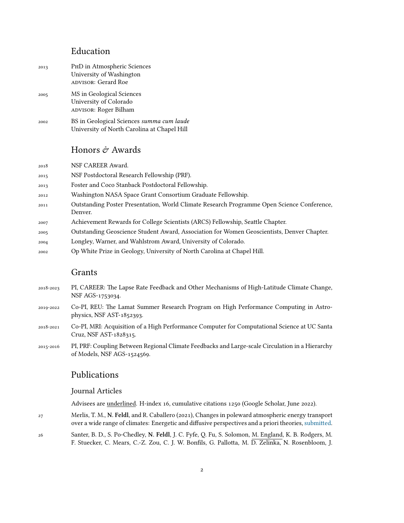### Education

- 2013 PhD in Atmospheric Sciences University of Washington advisoR: Gerard Roe 2005 MS in Geological Sciences University of Colorado advisoR: Roger Bilham
- 2002 BS in Geological Sciences *summa cum laude* University of North Carolina at Chapel Hill

# Honors  $\mathcal O$  Awards

2018 NSF CAREER Award.

- 2015 NSF Postdoctoral Research Fellowship (PRF).
- 2013 Foster and Coco Stanback Postdoctoral Fellowship.
- 2012 Washington NASA Space Grant Consortium Graduate Fellowship.
- 2011 Outstanding Poster Presentation, World Climate Research Programme Open Science Conference, Denver.
- 2007 Achievement Rewards for College Scientists (ARCS) Fellowship, Seattle Chapter.
- 2005 Outstanding Geoscience Student Award, Association for Women Geoscientists, Denver Chapter.
- 2004 Longley, Warner, and Wahlstrom Award, University of Colorado.
- 2002 Op White Prize in Geology, University of North Carolina at Chapel Hill.

### Grants

- 2018-2023 PI, CAREER: The Lapse Rate Feedback and Other Mechanisms of High-Latitude Climate Change, NSF AGS-1753034.
- 2019-2022 Co-PI, REU: The Lamat Summer Research Program on High Performance Computing in Astrophysics, NSF AST-1852393.
- 2018-2021 Co-PI, MRI: Acquisition of a High Performance Computer for Computational Science at UC Santa Cruz, NSF AST-1828315.
- 2015-2016 PI, PRF: Coupling Between Regional Climate Feedbacks and Large-scale Circulation in a Hierarchy of Models, NSF AGS-1524569.

# Publications

#### Journal Articles

Advisees are underlined. H-index 16, cumulative citations 1250 (Google Scholar, June 2022).

- 27 Merlis, T. M., **N. Feldl**, and R. Caballero (2021), Changes in poleward atmospheric energy transport over a wide range of climates: Energetic and diffusive perspectives and a priori theories, [submitted.](https://eartharxiv.org/repository/view/2665/)
- 26 Santer, B. D., S. Po-Chedley, **N. Feldl**, J. C. Fyfe, Q. Fu, S. Solomon, M. England, K. B. Rodgers, M. F. Stuecker, C. Mears, C.-Z. Zou, C. J. W. Bonfils, G. Pallotta, M. D. Zelinka, N. Rosenbloom, J.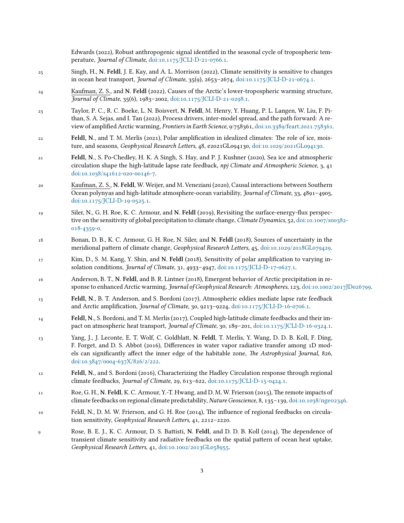|    | Edwards (2022), Robust anthropogenic signal identified in the seasonal cycle of tropospheric tem-<br>perature, Journal of Climate, doi:10.1175/JCLI-D-21-0766.1.                                                                                                                                                                                  |
|----|---------------------------------------------------------------------------------------------------------------------------------------------------------------------------------------------------------------------------------------------------------------------------------------------------------------------------------------------------|
| 25 | Singh, H., N. Feldl, J. E. Kay, and A. L. Morrison (2022), Climate sensitivity is sensitive to changes<br>in ocean heat transport, <i>Journal of Climate</i> , 35(9), 2653-2674, doi:10.1175/JCLI-D-21-0674.1.                                                                                                                                    |
| 24 | Kaufman, Z. S., and N. Feldl (2022), Causes of the Arctic's lower-tropospheric warming structure,<br>Journal of Climate, 35(6), 1983-2002, doi:10.1175/JCLI-D-21-0298.1.                                                                                                                                                                          |
| 23 | Taylor, P. C., R. C. Boeke, L. N. Boisvert, N. Feldl, M. Henry, Y. Huang, P. L. Langen, W. Liu, F. Pi-<br>than, S. A. Sejas, and I. Tan (2022), Process drivers, inter-model spread, and the path forward: A re-<br>view of amplified Arctic warming, Frontiers in Earth Science, 9:758361, doi:10.3389/feart.2021.758361.                        |
| 22 | Feldl, N., and T. M. Merlis (2021), Polar amplification in idealized climates: The role of ice, mois-<br>ture, and seasons, Geophysical Research Letters, 48, e2021GL094130, doi:10.1029/2021GL094130.                                                                                                                                            |
| 21 | Feldl, N., S. Po-Chedley, H. K. A Singh, S. Hay, and P. J. Kushner (2020), Sea ice and atmospheric<br>circulation shape the high-latitude lapse rate feedback, npj Climate and Atmospheric Science, 3, 41<br>doi:10.1038/s41612-020-00146-7.                                                                                                      |
| 20 | Kaufman, Z. S., N. Feldl, W. Weijer, and M. Veneziani (2020), Causal interactions between Southern<br>Ocean polynyas and high-latitude atmosphere-ocean variability, Journal of Climate, 33, 4891-4905,<br>doi:10.1175/JCLI-D-19-0525.1.                                                                                                          |
| 19 | Siler, N., G. H. Roe, K. C. Armour, and N. Feldl (2019), Revisiting the surface-energy-flux perspec-<br>tive on the sensitivity of global precipitation to climate change, Climate Dynamics, 52, doi:10.1007/s00382-<br>018-4359-0.                                                                                                               |
| 18 | Bonan, D. B., K. C. Armour, G. H. Roe, N. Siler, and N. Feldl (2018), Sources of uncertainty in the<br>meridional pattern of climate change, Geophysical Research Letters, 45, doi:10.1029/2018GL079429.                                                                                                                                          |
| 17 | Kim, D., S. M. Kang, Y. Shin, and N. Feldl (2018), Sensitivity of polar amplification to varying in-<br>solation conditions, Journal of Climate, 31, 4933-4947, doi:10.1175/JCLI-D-17-0627.1.                                                                                                                                                     |
| 16 | Anderson, B. T., N. Feldl, and B. R. Lintner (2018), Emergent behavior of Arctic precipitation in re-<br>sponse to enhanced Arctic warming, Journal of Geophysical Research: Atmospheres, 123, doi:10.1002/2017JD026799.                                                                                                                          |
| 15 | Feldl, N., B. T. Anderson, and S. Bordoni (2017), Atmospheric eddies mediate lapse rate feedback<br>and Arctic amplification, Journal of Climate, 30, 9213-9224, doi:10.1175/JCLI-D-16-0706.1.                                                                                                                                                    |
| 14 | Feldl, N., S. Bordoni, and T. M. Merlis (2017), Coupled high-latitude climate feedbacks and their im-<br>pact on atmospheric heat transport, Journal of Climate, 30, 189-201, doi:10.1175/JCLI-D-16-0324.1.                                                                                                                                       |
| 13 | Yang, J., J. Leconte, E. T. Wolf, C. Goldblatt, N. Feldl, T. Merlis, Y. Wang, D. D. B. Koll, F. Ding,<br>F. Forget, and D. S. Abbot (2016), Differences in water vapor radiative transfer among 1D mod-<br>els can significantly affect the inner edge of the habitable zone, The Astrophysical Journal, 826,<br>doi:10.3847/0004-637X/826/2/222. |
| 12 | Feldl, N., and S. Bordoni (2016), Characterizing the Hadley Circulation response through regional<br>climate feedbacks, <i>Journal of Climate</i> , 29, 613-622, doi:10.1175/JCLI-D-15-0424.1.                                                                                                                                                    |
| 11 | Roe, G. H., N. Feldl, K. C. Armour, Y.-T. Hwang, and D. M. W. Frierson (2015), The remote impacts of<br>climate feedbacks on regional climate predictability, Nature Geoscience, 8, 135-139, doi:10.1038/ngeo2346.                                                                                                                                |
| 10 | Feldl, N., D. M. W. Frierson, and G. H. Roe (2014), The influence of regional feedbacks on circula-<br>tion sensitivity, Geophysical Research Letters, 41, 2212-2220.                                                                                                                                                                             |
| 9  | Rose, B. E. J., K. C. Armour, D. S. Battisti, N. Feldl, and D. D. B. Koll (2014), The dependence of<br>transient climate sensitivity and radiative feedbacks on the spatial pattern of ocean heat uptake,<br>Geophysical Research Letters, 41, doi:10.1002/2013GL058955.                                                                          |
|    |                                                                                                                                                                                                                                                                                                                                                   |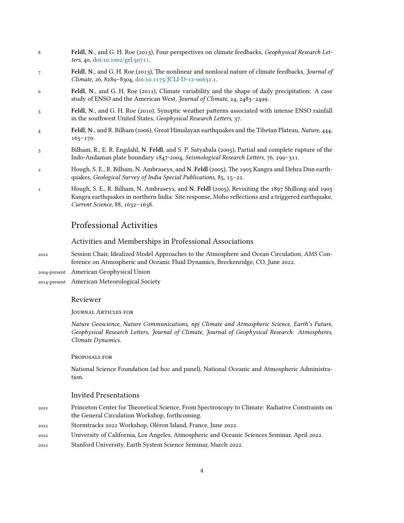- 8 **Feldl, N.**, and G. H. Roe (2013), Four perspectives on climate feedbacks, *Geophysical Research Letters*, 40, [doi:10.1002/grl.50711.](https://doi.org/10.1002/grl.50711)
- 7 **Feldl, N.**, and G. H. Roe (2013), The nonlinear and nonlocal nature of climate feedbacks, *Journal of Climate*, 26, 8289–8304, [doi:10.1175/JCLI-D-12-00631.1.](https://doi.org/10.1175/JCLI-D-12-00631.1)
- 6 **Feldl, N.**, and G. H. Roe (2011), Climate variability and the shape of daily precipitation: A case study of ENSO and the American West, *Journal of Climate*, 24, 2483–2499.
- 5 **Feldl, N.**, and G. H. Roe (2010), Synoptic weather patterns associated with intense ENSO rainfall in the southwest United States, *Geophysical Research Letters*, 37.
- 4 **Feldl, N.**, and R. Bilham (2006), Great Himalayan earthquakes and the Tibetan Plateau, *Nature*, 444, 165–170.
- 3 Bilham, R., E. R. Engdahl, **N. Feldl**, and S. P. Satyabala (2005), Partial and complete rupture of the Indo-Andaman plate boundary 1847-2004, *Seismological Research Letters*, 76, 299–311.
- 2 Hough, S. E., R. Bilham, N. Ambraseys, and **N. Feldl** (2005), The 1905 Kangra and Dehra Dun earthquakes, *Geological Survey of India Special Publications*, 85, 15–22.
- 1 Hough, S. E., R. Bilham, N. Ambraseys, and **N. Feldl** (2005), Revisiting the 1897 Shillong and 1905 Kangra earthquakes in northern India: Site response, Moho reflections and a triggered earthquake, *Current Science*, 88, 1632–1638.

### Professional Activities

#### Activities and Memberships in Professional Associations

- 2022 Session Chair, Idealized Model Approaches to the Atmosphere and Ocean Circulation, AMS Conference on Atmospheric and Oceanic Fluid Dynamics, Breckenridge, CO, June 2022.
- 2004-present American Geophysical Union
- 2014-present American Meteorological Society

#### Reviewer

JouRnal ARticles foR

*Nature Geoscience, Nature Communications, npj Climate and Atmospheric Science, Earth's Future, Geophysical Research Letters, Journal of Climate, Journal of Geophysical Research: Atmospheres, Climate Dynamics.*

#### PRoposals foR

National Science Foundation (ad hoc and panel), National Oceanic and Atmospheric Administration.

#### Invited Presentations

- 2022 Princeton Center for Theoretical Science, From Spectroscopy to Climate: Radiative Constraints on the General Circulation Workshop, forthcoming.
- 2022 Stormtracks 2022 Workshop, Olèron Island, France, June 2022.
- 2022 University of California, Los Angeles, Atmospheric and Oceanic Sciences Seminar, April 2022.
- 2022 Stanford University, Earth System Science Seminar, March 2022.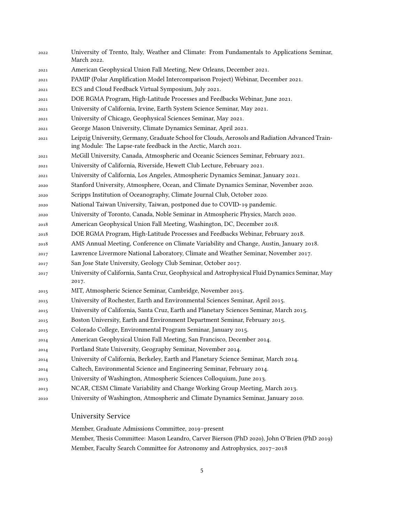University of Trento, Italy, Weather and Climate: From Fundamentals to Applications Seminar, March 2022. American Geophysical Union Fall Meeting, New Orleans, December 2021. PAMIP (Polar Amplification Model Intercomparison Project) Webinar, December 2021. ECS and Cloud Feedback Virtual Symposium, July 2021. DOE RGMA Program, High-Latitude Processes and Feedbacks Webinar, June 2021. University of California, Irvine, Earth System Science Seminar, May 2021. University of Chicago, Geophysical Sciences Seminar, May 2021. George Mason University, Climate Dynamics Seminar, April 2021. Leipzig University, Germany, Graduate School for Clouds, Aerosols and Radiation Advanced Training Module: The Lapse-rate feedback in the Arctic, March 2021. McGill University, Canada, Atmospheric and Oceanic Sciences Seminar, February 2021. University of California, Riverside, Hewett Club Lecture, February 2021. University of California, Los Angeles, Atmospheric Dynamics Seminar, January 2021. Stanford University, Atmosphere, Ocean, and Climate Dynamics Seminar, November 2020. Scripps Institution of Oceanography, Climate Journal Club, October 2020. National Taiwan University, Taiwan, postponed due to COVID-19 pandemic. University of Toronto, Canada, Noble Seminar in Atmospheric Physics, March 2020. American Geophysical Union Fall Meeting, Washington, DC, December 2018. DOE RGMA Program, High-Latitude Processes and Feedbacks Webinar, February 2018. AMS Annual Meeting, Conference on Climate Variability and Change, Austin, January 2018. Lawrence Livermore National Laboratory, Climate and Weather Seminar, November 2017. San Jose State University, Geology Club Seminar, October 2017. University of California, Santa Cruz, Geophysical and Astrophysical Fluid Dynamics Seminar, May 2017. MIT, Atmospheric Science Seminar, Cambridge, November 2015. University of Rochester, Earth and Environmental Sciences Seminar, April 2015. University of California, Santa Cruz, Earth and Planetary Sciences Seminar, March 2015. Boston University, Earth and Environment Department Seminar, February 2015. Colorado College, Environmental Program Seminar, January 2015. American Geophysical Union Fall Meeting, San Francisco, December 2014. Portland State University, Geography Seminar, November 2014. University of California, Berkeley, Earth and Planetary Science Seminar, March 2014. Caltech, Environmental Science and Engineering Seminar, February 2014. University of Washington, Atmospheric Sciences Colloquium, June 2013. NCAR, CESM Climate Variability and Change Working Group Meeting, March 2013. University of Washington, Atmospheric and Climate Dynamics Seminar, January 2010.

#### University Service

Member, Graduate Admissions Committee, 2019–present

Member, Thesis Committee: Mason Leandro, Carver Bierson (PhD 2020), John O'Brien (PhD 2019) Member, Faculty Search Committee for Astronomy and Astrophysics, 2017–2018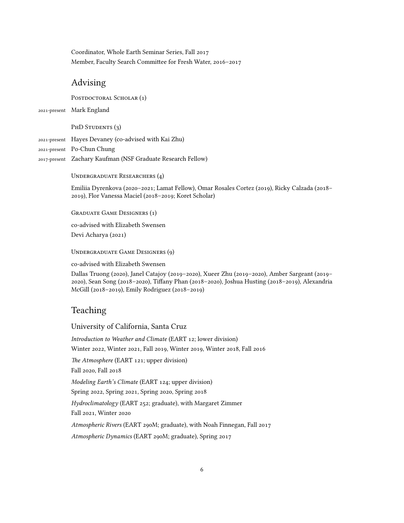Coordinator, Whole Earth Seminar Series, Fall 2017 Member, Faculty Search Committee for Fresh Water, 2016–2017

### Advising

POSTDOCTORAL SCHOLAR (1)

2021-present Mark England

#### PHD STUDENTS (3)

2021-present Hayes Devaney (co-advised with Kai Zhu)

2021-present Po-Chun Chung

2017-present Zachary Kaufman (NSF Graduate Research Fellow)

UNDERGRADUATE RESEARCHERS (4)

Emiliia Dyrenkova (2020–2021; Lamat Fellow), Omar Rosales Cortez (2019), Ricky Calzada (2018– 2019), Flor Vanessa Maciel (2018–2019; Koret Scholar)

GRaduate Game DesigneRs (1)

co-advised with Elizabeth Swensen Devi Acharya (2021)

UndeRgRaduate Game DesigneRs (9)

co-advised with Elizabeth Swensen

Dallas Truong (2020), Janel Catajoy (2019–2020), Xueer Zhu (2019–2020), Amber Sargeant (2019– 2020), Sean Song (2018–2020), Tiffany Phan (2018–2020), Joshua Husting (2018–2019), Alexandria McGill (2018–2019), Emily Rodriguez (2018–2019)

# Teaching

#### University of California, Santa Cruz

*Introduction to Weather and Climate* (EART 12; lower division) Winter 2022, Winter 2021, Fall 2019, Winter 2019, Winter 2018, Fall 2016 *The Atmosphere* (EART 121; upper division) Fall 2020, Fall 2018 *Modeling Earth's Climate* (EART 124; upper division) Spring 2022, Spring 2021, Spring 2020, Spring 2018 *Hydroclimatology* (EART 252; graduate), with Margaret Zimmer Fall 2021, Winter 2020 *Atmospheric Rivers* (EART 290M; graduate), with Noah Finnegan, Fall 2017

*Atmospheric Dynamics* (EART 290M; graduate), Spring 2017